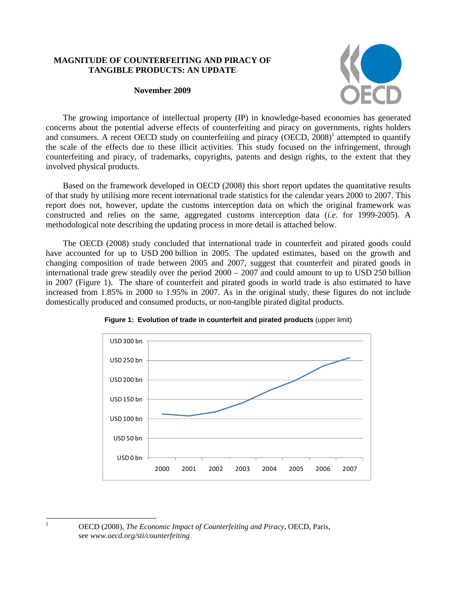### **MAGNITUDE OF COUNTERFEITING AND PIRACY OF TANGIBLE PRODUCTS: AN UPDATE**

#### **November 2009**



The growing importance of intellectual property (IP) in knowledge-based economies has generated concerns about the potential adverse effects of counterfeiting and piracy on governments, rights holders and consumers. A recent OECD study on counterfeiting and piracy (OECD, 2008)<sup>1</sup> attempted to quantify the scale of the effects due to these illicit activities. This study focused on the infringement, through counterfeiting and piracy, of trademarks, copyrights, patents and design rights, to the extent that they involved physical products.

Based on the framework developed in OECD (2008) this short report updates the quantitative results of that study by utilising more recent international trade statistics for the calendar years 2000 to 2007. This report does not, however, update the customs interception data on which the original framework was constructed and relies on the same, aggregated customs interception data (*i.e.* for 1999-2005). A methodological note describing the updating process in more detail is attached below.

The OECD (2008) study concluded that international trade in counterfeit and pirated goods could have accounted for up to USD 200 billion in 2005. The updated estimates, based on the growth and changing composition of trade between 2005 and 2007, suggest that counterfeit and pirated goods in international trade grew steadily over the period 2000 – 2007 and could amount to up to USD 250 billion in 2007 (Figure 1). The share of counterfeit and pirated goods in world trade is also estimated to have increased from 1.85% in 2000 to 1.95% in 2007. As in the original study, these figures do not include domestically produced and consumed products, or non-tangible pirated digital products.





 $\frac{1}{1}$ 

OECD (2008), *The Economic Impact of Counterfeiting and Piracy*, OECD, Paris, see *www.oecd.org/sti/counterfeiting*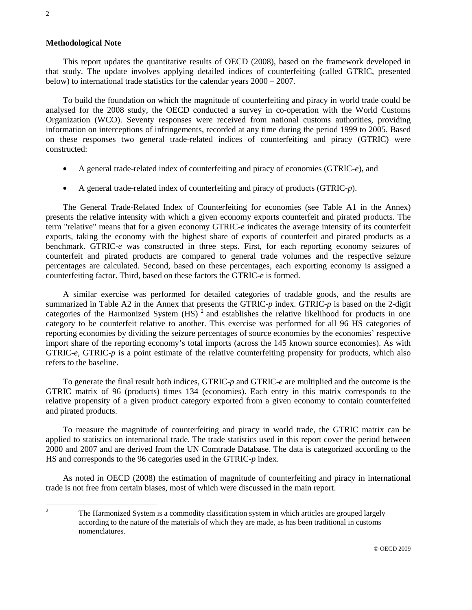#### **Methodological Note**

This report updates the quantitative results of OECD (2008), based on the framework developed in that study. The update involves applying detailed indices of counterfeiting (called GTRIC, presented below) to international trade statistics for the calendar years 2000 – 2007.

To build the foundation on which the magnitude of counterfeiting and piracy in world trade could be analysed for the 2008 study, the OECD conducted a survey in co-operation with the World Customs Organization (WCO). Seventy responses were received from national customs authorities, providing information on interceptions of infringements, recorded at any time during the period 1999 to 2005. Based on these responses two general trade-related indices of counterfeiting and piracy (GTRIC) were constructed:

- A general trade-related index of counterfeiting and piracy of economies (GTRIC-*e*), and
- A general trade-related index of counterfeiting and piracy of products (GTRIC-*p*).

The General Trade-Related Index of Counterfeiting for economies (see Table A1 in the Annex) presents the relative intensity with which a given economy exports counterfeit and pirated products. The term "relative" means that for a given economy GTRIC-*e* indicates the average intensity of its counterfeit exports, taking the economy with the highest share of exports of counterfeit and pirated products as a benchmark. GTRIC-*e* was constructed in three steps. First, for each reporting economy seizures of counterfeit and pirated products are compared to general trade volumes and the respective seizure percentages are calculated. Second, based on these percentages, each exporting economy is assigned a counterfeiting factor. Third, based on these factors the GTRIC-*e* is formed.

A similar exercise was performed for detailed categories of tradable goods, and the results are summarized in Table A2 in the Annex that presents the GTRIC-*p* index. GTRIC-*p* is based on the 2-digit categories of the Harmonized System  $(HS)^2$  and establishes the relative likelihood for products in one category to be counterfeit relative to another. This exercise was performed for all 96 HS categories of reporting economies by dividing the seizure percentages of source economies by the economies' respective import share of the reporting economy's total imports (across the 145 known source economies). As with GTRIC-*e*, GTRIC-*p* is a point estimate of the relative counterfeiting propensity for products, which also refers to the baseline.

To generate the final result both indices, GTRIC-*p* and GTRIC-*e* are multiplied and the outcome is the GTRIC matrix of 96 (products) times 134 (economies). Each entry in this matrix corresponds to the relative propensity of a given product category exported from a given economy to contain counterfeited and pirated products.

To measure the magnitude of counterfeiting and piracy in world trade, the GTRIC matrix can be applied to statistics on international trade. The trade statistics used in this report cover the period between 2000 and 2007 and are derived from the UN Comtrade Database. The data is categorized according to the HS and corresponds to the 96 categories used in the GTRIC-*p* index.

As noted in OECD (2008) the estimation of magnitude of counterfeiting and piracy in international trade is not free from certain biases, most of which were discussed in the main report.

 $\frac{1}{2}$  The Harmonized System is a commodity classification system in which articles are grouped largely according to the nature of the materials of which they are made, as has been traditional in customs nomenclatures.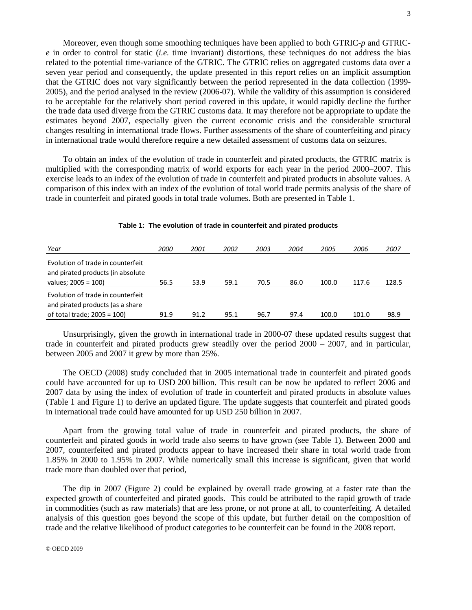Moreover, even though some smoothing techniques have been applied to both GTRIC-*p* and GTRIC*e* in order to control for static (*i.e.* time invariant) distortions, these techniques do not address the bias related to the potential time-variance of the GTRIC. The GTRIC relies on aggregated customs data over a seven year period and consequently, the update presented in this report relies on an implicit assumption that the GTRIC does not vary significantly between the period represented in the data collection (1999- 2005), and the period analysed in the review (2006-07). While the validity of this assumption is considered to be acceptable for the relatively short period covered in this update, it would rapidly decline the further the trade data used diverge from the GTRIC customs data. It may therefore not be appropriate to update the estimates beyond 2007, especially given the current economic crisis and the considerable structural changes resulting in international trade flows. Further assessments of the share of counterfeiting and piracy in international trade would therefore require a new detailed assessment of customs data on seizures.

To obtain an index of the evolution of trade in counterfeit and pirated products, the GTRIC matrix is multiplied with the corresponding matrix of world exports for each year in the period 2000–2007. This exercise leads to an index of the evolution of trade in counterfeit and pirated products in absolute values. A comparison of this index with an index of the evolution of total world trade permits analysis of the share of trade in counterfeit and pirated goods in total trade volumes. Both are presented in Table 1.

| Year                                                                                                  | <i>2000</i> | 2001 | 2002 | 2003 | 2004 | 2005  | 2006  | 2007  |
|-------------------------------------------------------------------------------------------------------|-------------|------|------|------|------|-------|-------|-------|
| Evolution of trade in counterfeit<br>and pirated products (in absolute<br>values; 2005 = 100)         | 56.5        | 53.9 | 59.1 | 70.5 | 86.0 | 100.0 | 117.6 | 128.5 |
| Evolution of trade in counterfeit<br>and pirated products (as a share<br>of total trade; $2005 = 100$ | 91.9        | 91.2 | 95.1 | 96.7 | 97.4 | 100.0 | 101.0 | 98.9  |

#### **Table 1: The evolution of trade in counterfeit and pirated products**

Unsurprisingly, given the growth in international trade in 2000-07 these updated results suggest that trade in counterfeit and pirated products grew steadily over the period 2000 – 2007, and in particular, between 2005 and 2007 it grew by more than 25%.

The OECD (2008) study concluded that in 2005 international trade in counterfeit and pirated goods could have accounted for up to USD 200 billion. This result can be now be updated to reflect 2006 and 2007 data by using the index of evolution of trade in counterfeit and pirated products in absolute values (Table 1 and Figure 1) to derive an updated figure. The update suggests that counterfeit and pirated goods in international trade could have amounted for up USD 250 billion in 2007.

Apart from the growing total value of trade in counterfeit and pirated products, the share of counterfeit and pirated goods in world trade also seems to have grown (see Table 1). Between 2000 and 2007, counterfeited and pirated products appear to have increased their share in total world trade from 1.85% in 2000 to 1.95% in 2007. While numerically small this increase is significant, given that world trade more than doubled over that period,

The dip in 2007 (Figure 2) could be explained by overall trade growing at a faster rate than the expected growth of counterfeited and pirated goods. This could be attributed to the rapid growth of trade in commodities (such as raw materials) that are less prone, or not prone at all, to counterfeiting. A detailed analysis of this question goes beyond the scope of this update, but further detail on the composition of trade and the relative likelihood of product categories to be counterfeit can be found in the 2008 report.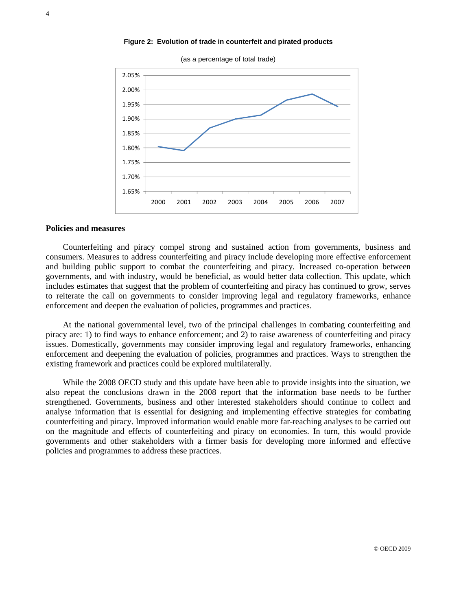



### **Policies and measures**

Counterfeiting and piracy compel strong and sustained action from governments, business and consumers. Measures to address counterfeiting and piracy include developing more effective enforcement and building public support to combat the counterfeiting and piracy. Increased co-operation between governments, and with industry, would be beneficial, as would better data collection. This update, which includes estimates that suggest that the problem of counterfeiting and piracy has continued to grow, serves to reiterate the call on governments to consider improving legal and regulatory frameworks, enhance enforcement and deepen the evaluation of policies, programmes and practices.

At the national governmental level, two of the principal challenges in combating counterfeiting and piracy are: 1) to find ways to enhance enforcement; and 2) to raise awareness of counterfeiting and piracy issues. Domestically, governments may consider improving legal and regulatory frameworks, enhancing enforcement and deepening the evaluation of policies, programmes and practices. Ways to strengthen the existing framework and practices could be explored multilaterally.

While the 2008 OECD study and this update have been able to provide insights into the situation, we also repeat the conclusions drawn in the 2008 report that the information base needs to be further strengthened. Governments, business and other interested stakeholders should continue to collect and analyse information that is essential for designing and implementing effective strategies for combating counterfeiting and piracy. Improved information would enable more far-reaching analyses to be carried out on the magnitude and effects of counterfeiting and piracy on economies. In turn, this would provide governments and other stakeholders with a firmer basis for developing more informed and effective policies and programmes to address these practices.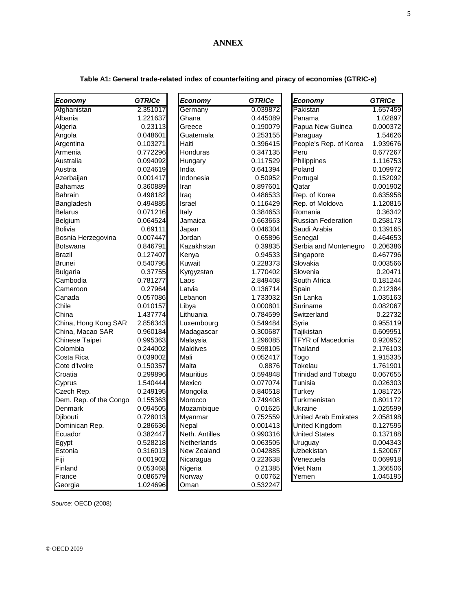## **ANNEX**

| Economy                | <b>GTRICe</b> | <b>Economy</b>   | <b>GTRICe</b> | Economy                     | <b>GTRICe</b> |
|------------------------|---------------|------------------|---------------|-----------------------------|---------------|
| Afghanistan            | 2.351017      | Germany          | 0.039872      | Pakistan                    | 1.657459      |
| Albania                | 1.221637      | Ghana            | 0.445089      | Panama                      | 1.02897       |
| Algeria                | 0.23113       | Greece           | 0.190079      | Papua New Guinea            | 0.000372      |
| Angola                 | 0.048601      | Guatemala        | 0.253155      | Paraguay                    | 1.54626       |
| Argentina              | 0.103271      | Haiti            | 0.396415      | People's Rep. of Korea      | 1.939676      |
| Armenia                | 0.772296      | Honduras         | 0.347135      | Peru                        | 0.677267      |
| Australia              | 0.094092      | Hungary          | 0.117529      | Philippines                 | 1.116753      |
| Austria                | 0.024619      | India            | 0.641394      | Poland                      | 0.109972      |
| Azerbaijan             | 0.001417      | Indonesia        | 0.50952       | Portugal                    | 0.152092      |
| Bahamas                | 0.360889      | Iran             | 0.897601      | Qatar                       | 0.001902      |
| Bahrain                | 0.498182      | Iraq             | 0.486533      | Rep. of Korea               | 0.635958      |
| Bangladesh             | 0.494885      | Israel           | 0.116429      | Rep. of Moldova             | 1.120815      |
| <b>Belarus</b>         | 0.071216      | Italy            | 0.384653      | Romania                     | 0.36342       |
| Belgium                | 0.064524      | Jamaica          | 0.663663      | <b>Russian Federation</b>   | 0.258173      |
| Bolivia                | 0.69111       | Japan            | 0.046304      | Saudi Arabia                | 0.139165      |
| Bosnia Herzegovina     | 0.007447      | Jordan           | 0.65896       | Senegal                     | 0.464653      |
| Botswana               | 0.846791      | Kazakhstan       | 0.39835       | Serbia and Montenegro       | 0.206386      |
| Brazil                 | 0.127407      | Kenya            | 0.94533       | Singapore                   | 0.467796      |
| Brunei                 | 0.540795      | Kuwait           | 0.228373      | Slovakia                    | 0.003566      |
| <b>Bulgaria</b>        | 0.37755       | Kyrgyzstan       | 1.770402      | Slovenia                    | 0.20471       |
| Cambodia               | 0.781277      | Laos             | 2.849408      | South Africa                | 0.181244      |
| Cameroon               | 0.27964       | Latvia           | 0.136714      | Spain                       | 0.212384      |
| Canada                 | 0.057086      | Lebanon          | 1.733032      | Sri Lanka                   | 1.035163      |
| Chile                  | 0.010157      | Libya            | 0.000801      | Suriname                    | 0.082067      |
| China                  | 1.437774      | Lithuania        | 0.784599      | Switzerland                 | 0.22732       |
| China, Hong Kong SAR   | 2.856343      | Luxembourg       | 0.549484      | Syria                       | 0.955119      |
| China, Macao SAR       | 0.960184      | Madagascar       | 0.300687      | Tajikistan                  | 0.609951      |
| Chinese Taipei         | 0.995363      | Malaysia         | 1.296085      | <b>TFYR of Macedonia</b>    | 0.920952      |
| Colombia               | 0.244002      | Maldives         | 0.598105      | Thailand                    | 2.176103      |
| Costa Rica             | 0.039002      | Mali             | 0.052417      | Togo                        | 1.915335      |
| Cote d'Ivoire          | 0.150357      | Malta            | 0.8876        | Tokelau                     | 1.761901      |
| Croatia                | 0.299896      | <b>Mauritius</b> | 0.594848      | Trinidad and Tobago         | 0.067655      |
| Cyprus                 | 1.540444      | Mexico           | 0.077074      | Tunisia                     | 0.026303      |
| Czech Rep.             | 0.249195      | Mongolia         | 0.840518      | Turkey                      | 1.081725      |
| Dem. Rep. of the Congo | 0.155363      | Morocco          | 0.749408      | Turkmenistan                | 0.801172      |
| Denmark                | 0.094505      | Mozambique       | 0.01625       | Ukraine                     | 1.025599      |
| Djibouti               | 0.728013      | Myanmar          | 0.752559      | <b>United Arab Emirates</b> | 2.058198      |
| Dominican Rep.         | 0.286636      | Nepal            | 0.001413      | <b>United Kingdom</b>       | 0.127595      |
| Ecuador                | 0.382447      | Neth. Antilles   | 0.990316      | <b>United States</b>        | 0.137188      |
| Egypt                  | 0.528218      | Netherlands      | 0.063505      | Uruguay                     | 0.004343      |
| Estonia                | 0.316013      | New Zealand      | 0.042885      | Uzbekistan                  | 1.520067      |
| Fiji                   | 0.001902      | Nicaragua        | 0.223638      | Venezuela                   | 0.069918      |
| Finland                | 0.053468      | Nigeria          | 0.21385       | Viet Nam                    | 1.366506      |
| France                 | 0.086579      | Norway           | 0.00762       | Yemen                       | 1.045195      |
| Georgia                | 1.024696      | Oman             | 0.532247      |                             |               |

# **Table A1: General trade-related index of counterfeiting and piracy of economies (GTRIC-***e***)**

*Source*: OECD (2008)